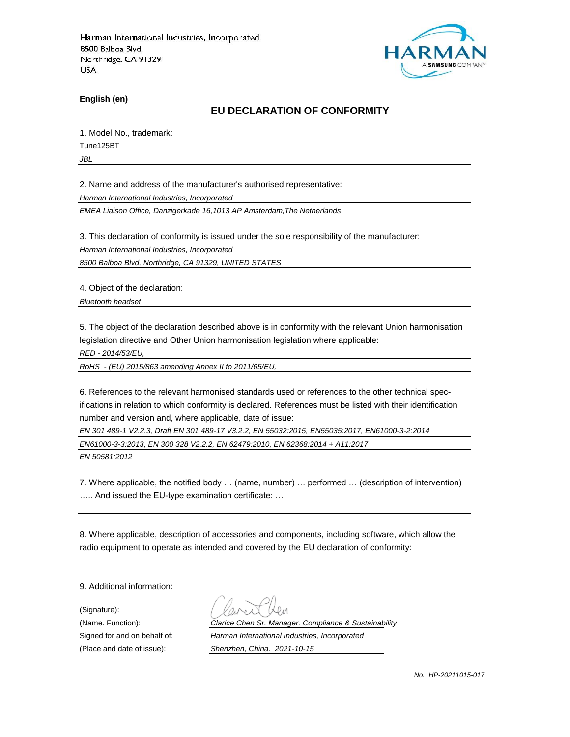

**English (en)**

#### **EU DECLARATION OF CONFORMITY**

1. Model No., trademark:

Tune125BT

*JBL*

2. Name and address of the manufacturer's authorised representative:

*Harman International Industries, Incorporated*

*EMEA Liaison Office, Danzigerkade 16,1013 AP Amsterdam,The Netherlands*

3. This declaration of conformity is issued under the sole responsibility of the manufacturer:

*Harman International Industries, Incorporated*

*8500 Balboa Blvd, Northridge, CA 91329, UNITED STATES*

4. Object of the declaration:

*Bluetooth headset*

5. The object of the declaration described above is in conformity with the relevant Union harmonisation legislation directive and Other Union harmonisation legislation where applicable:

*RED - 2014/53/EU,*

*RoHS - (EU) 2015/863 amending Annex II to 2011/65/EU,*

6. References to the relevant harmonised standards used or references to the other technical specifications in relation to which conformity is declared. References must be listed with their identification number and version and, where applicable, date of issue:

*EN 301 489-1 V2.2.3, Draft EN 301 489-17 V3.2.2, EN 55032:2015, EN55035:2017, EN61000-3-2:2014*

*EN61000-3-3:2013, EN 300 328 V2.2.2, EN 62479:2010, EN 62368:2014 + A11:2017*

*EN 50581:2012*

7. Where applicable, the notified body … (name, number) … performed … (description of intervention) ….. And issued the EU-type examination certificate: …

8. Where applicable, description of accessories and components, including software, which allow the radio equipment to operate as intended and covered by the EU declaration of conformity:

9. Additional information:

(Signature):

(Name. Function): *Clarice Chen Sr. Manager. Compliance & Sustainability* Signed for and on behalf of: *Harman International Industries, Incorporated*

(Place and date of issue): *Shenzhen, China. 2021-10-15*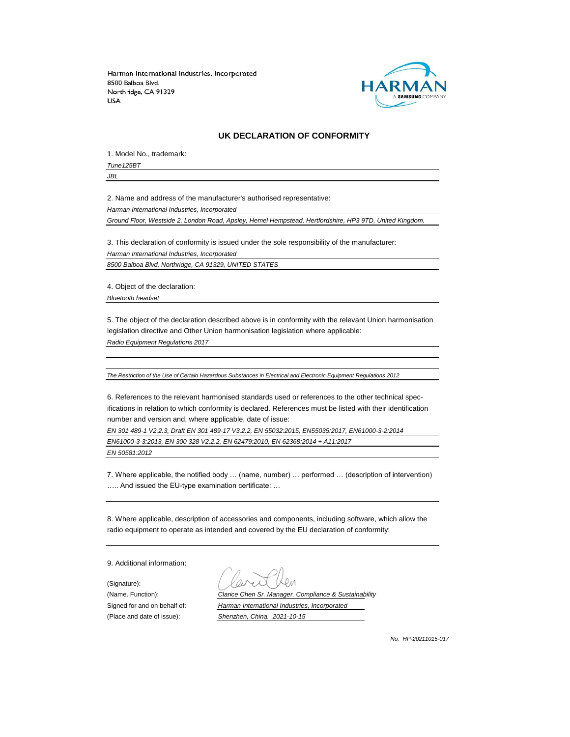

#### **UK DECLARATION OF CONFORMITY**

1. Model No., trademark:

*Tune125BT*

*JBL*

2. Name and address of the manufacturer's authorised representative:

*Harman International Industries, Incorporated*

*Ground Floor, Westside 2, London Road, Apsley, Hemel Hempstead, Hertfordshire, HP3 9TD, United Kingdom.*

3. This declaration of conformity is issued under the sole responsibility of the manufacturer: *Harman International Industries, Incorporated 8500 Balboa Blvd, Northridge, CA 91329, UNITED STATES*

4. Object of the declaration:

*Bluetooth headset*

5. The object of the declaration described above is in conformity with the relevant Union harmonisation legislation directive and Other Union harmonisation legislation where applicable:

*Radio Equipment Regulations 2017*

*The Restriction of the Use of Certain Hazardous Substances in Electrical and Electronic Equipment Regulations 2012*

6. References to the relevant harmonised standards used or references to the other technical specifications in relation to which conformity is declared. References must be listed with their identification number and version and, where applicable, date of issue:

*EN 301 489-1 V2.2.3, Draft EN 301 489-17 V3.2.2, EN 55032:2015, EN55035:2017, EN61000-3-2:2014 EN61000-3-3:2013, EN 300 328 V2.2.2, EN 62479:2010, EN 62368:2014 + A11:2017*

*EN 50581:2012*

7. Where applicable, the notified body … (name, number) … performed … (description of intervention) ….. And issued the EU-type examination certificate: …

8. Where applicable, description of accessories and components, including software, which allow the radio equipment to operate as intended and covered by the EU declaration of conformity:

9. Additional information:

(Signature):

(Name. Function): *Clarice Chen Sr. Manager. Compliance & Sustainability* Signed for and on behalf of: *Harman International Industries, Incorporated* (Place and date of issue): *Shenzhen, China. 2021-10-15*

*No. HP-20211015-017*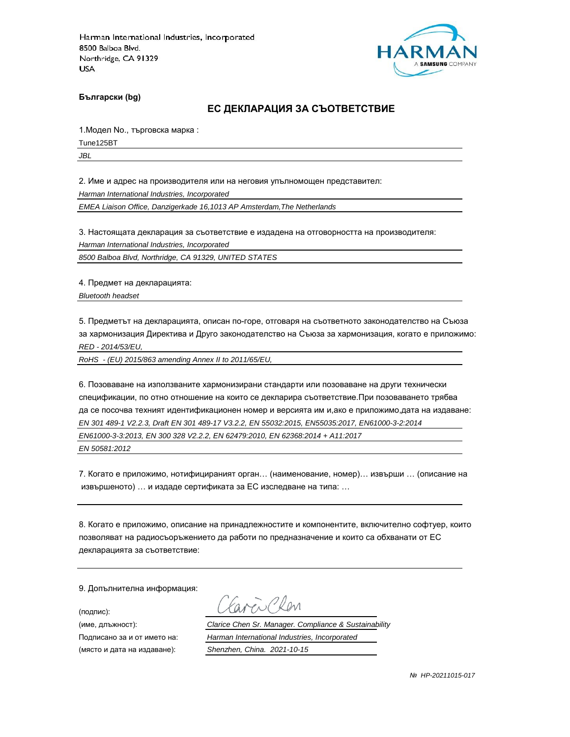

**Български (bg)**

#### **ЕС ДЕКЛАРАЦИЯ ЗА СЪОТВЕТСТВИЕ**

1.Модел No., търговска марка :

Tune125BT

*JBL*

2. Име и адрес на производителя или на неговия упълномощен представител:

*Harman International Industries, Incorporated*

*EMEA Liaison Office, Danzigerkade 16,1013 AP Amsterdam,The Netherlands*

3. Настоящата декларация за съответствие е издадена на отговорността на производителя:

*Harman International Industries, Incorporated*

*8500 Balboa Blvd, Northridge, CA 91329, UNITED STATES*

4. Предмет на декларацията:

*Bluetooth headset*

5. Предметът на декларацията, описан по-горе, отговаря на съответното законодателство на Съюза за хармонизация Директива и Друго законодателство на Съюза за хармонизация, когато е приложимо: *RED - 2014/53/EU,*

*RoHS - (EU) 2015/863 amending Annex II to 2011/65/EU,*

6. Позоваване на използваните хармонизирани стандарти или позоваване на други технически спецификации, по отно отношение на които се декларира съответствие.При позоваването трябва да се посочва техният идентификационен номер и версията им и,ако е приложимо,дата на издаване: *EN 301 489-1 V2.2.3, Draft EN 301 489-17 V3.2.2, EN 55032:2015, EN55035:2017, EN61000-3-2:2014 EN61000-3-3:2013, EN 300 328 V2.2.2, EN 62479:2010, EN 62368:2014 + A11:2017 EN 50581:2012*

7. Когато е приложимо, нотифицираният орган… (наименование, номер)… извърши … (описание на извършеното) … и издаде сертификата за ЕС изследване на типа: …

8. Когато е приложимо, описание на принадлежностите и компонентите, включително софтуер, които позволяват на радиосъоръжението да работи по предназначение и които са обхванати от ЕС декларацията за съответствие:

9. Допълнителна информация:

(подпис):

(място и дата на издаване): *Shenzhen, China. 2021-10-15*

aren Chen

(име, длъжност): *Clarice Chen Sr. Manager. Compliance & Sustainability*

Подписано за и от името на: *Harman International Industries, Incorporated*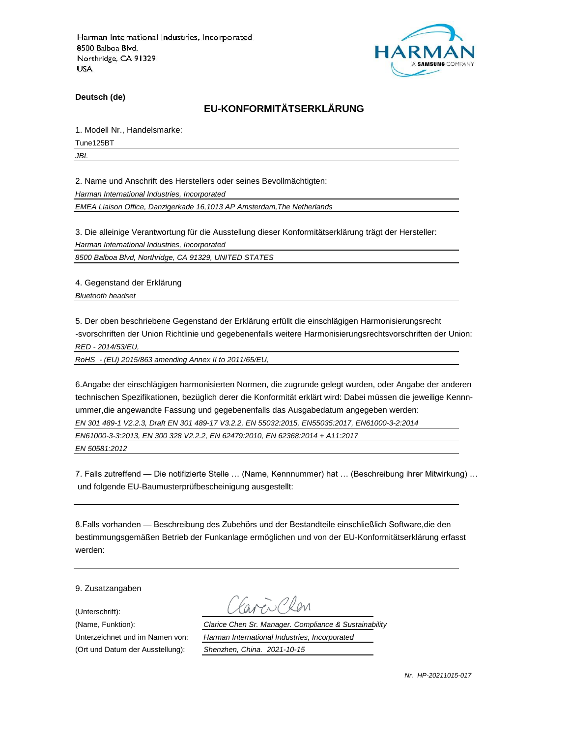

**Deutsch (de)**

# **EU-KONFORMITÄTSERKLÄRUNG**

1. Modell Nr., Handelsmarke:

Tune125BT

*JBL*

2. Name und Anschrift des Herstellers oder seines Bevollmächtigten:

*Harman International Industries, Incorporated*

*EMEA Liaison Office, Danzigerkade 16,1013 AP Amsterdam,The Netherlands*

3. Die alleinige Verantwortung für die Ausstellung dieser Konformitätserklärung trägt der Hersteller:

*Harman International Industries, Incorporated*

*8500 Balboa Blvd, Northridge, CA 91329, UNITED STATES*

4. Gegenstand der Erklärung

*Bluetooth headset*

5. Der oben beschriebene Gegenstand der Erklärung erfüllt die einschlägigen Harmonisierungsrecht -svorschriften der Union Richtlinie und gegebenenfalls weitere Harmonisierungsrechtsvorschriften der Union: *RED - 2014/53/EU,*

*RoHS - (EU) 2015/863 amending Annex II to 2011/65/EU,*

6.Angabe der einschlägigen harmonisierten Normen, die zugrunde gelegt wurden, oder Angabe der anderen technischen Spezifikationen, bezüglich derer die Konformität erklärt wird: Dabei müssen die jeweilige Kennnummer,die angewandte Fassung und gegebenenfalls das Ausgabedatum angegeben werden: *EN 301 489-1 V2.2.3, Draft EN 301 489-17 V3.2.2, EN 55032:2015, EN55035:2017, EN61000-3-2:2014 EN61000-3-3:2013, EN 300 328 V2.2.2, EN 62479:2010, EN 62368:2014 + A11:2017*

*EN 50581:2012*

7. Falls zutreffend — Die notifizierte Stelle … (Name, Kennnummer) hat … (Beschreibung ihrer Mitwirkung) … und folgende EU-Baumusterprüfbescheinigung ausgestellt:

8.Falls vorhanden — Beschreibung des Zubehörs und der Bestandteile einschließlich Software,die den bestimmungsgemäßen Betrieb der Funkanlage ermöglichen und von der EU-Konformitätserklärung erfasst werden:

9. Zusatzangaben

(Unterschrift):

(Name, Funktion): *Clarice Chen Sr. Manager. Compliance & Sustainability* Unterzeichnet und im Namen von: *Harman International Industries, Incorporated* (Ort und Datum der Ausstellung): *Shenzhen, China. 2021-10-15*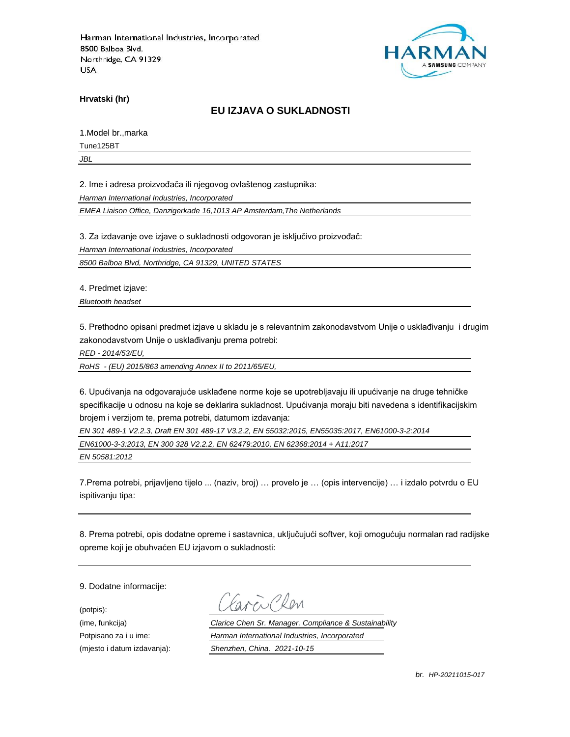

**Hrvatski (hr)**

## **EU IZJAVA O SUKLADNOSTI**

1.Model br.,marka

Tune125BT

*JBL*

2. Ime i adresa proizvođača ili njegovog ovlaštenog zastupnika:

*Harman International Industries, Incorporated*

*EMEA Liaison Office, Danzigerkade 16,1013 AP Amsterdam,The Netherlands*

3. Za izdavanje ove izjave o sukladnosti odgovoran je isključivo proizvođač:

*Harman International Industries, Incorporated*

*8500 Balboa Blvd, Northridge, CA 91329, UNITED STATES*

4. Predmet izjave:

*Bluetooth headset*

5. Prethodno opisani predmet izjave u skladu je s relevantnim zakonodavstvom Unije o usklađivanju i drugim zakonodavstvom Unije o usklađivanju prema potrebi:

*RED - 2014/53/EU,*

*RoHS - (EU) 2015/863 amending Annex II to 2011/65/EU,*

6. Upućivanja na odgovarajuće usklađene norme koje se upotrebljavaju ili upućivanje na druge tehničke specifikacije u odnosu na koje se deklarira sukladnost. Upućivanja moraju biti navedena s identifikacijskim brojem i verzijom te, prema potrebi, datumom izdavanja:

*EN 301 489-1 V2.2.3, Draft EN 301 489-17 V3.2.2, EN 55032:2015, EN55035:2017, EN61000-3-2:2014*

*EN61000-3-3:2013, EN 300 328 V2.2.2, EN 62479:2010, EN 62368:2014 + A11:2017*

*EN 50581:2012*

7.Prema potrebi, prijavljeno tijelo ... (naziv, broj) … provelo je … (opis intervencije) … i izdalo potvrdu o EU ispitivanju tipa:

8. Prema potrebi, opis dodatne opreme i sastavnica, uključujući softver, koji omogućuju normalan rad radijske opreme koji je obuhvaćen EU izjavom o sukladnosti:

9. Dodatne informacije:

(potpis):

(ime, funkcija) *Clarice Chen Sr. Manager. Compliance & Sustainability* Potpisano za i u ime: *Harman International Industries, Incorporated* (mjesto i datum izdavanja): *Shenzhen, China. 2021-10-15*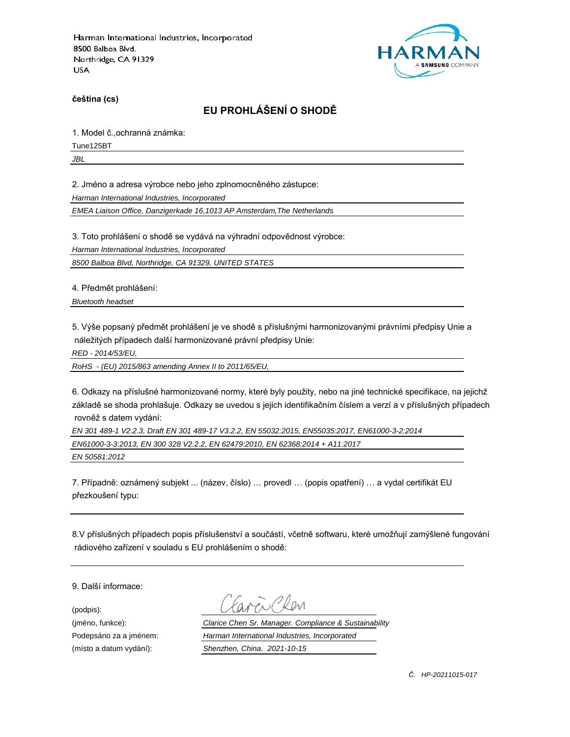

**čeština (cs)**

# **EU PROHLÁŠENÍ O SHODĚ**

1. Model č.,ochranná známka:

Tune125BT

*JBL*

2. Jméno a adresa výrobce nebo jeho zplnomocněného zástupce:

*Harman International Industries, Incorporated*

*EMEA Liaison Office, Danzigerkade 16,1013 AP Amsterdam,The Netherlands*

3. Toto prohlášení o shodě se vydává na výhradní odpovědnost výrobce:

*Harman International Industries, Incorporated*

*8500 Balboa Blvd, Northridge, CA 91329, UNITED STATES*

4. Předmět prohlášení:

*Bluetooth headset*

5. Výše popsaný předmět prohlášení je ve shodě s příslušnými harmonizovanými právními předpisy Unie a náležitých případech další harmonizované právní předpisy Unie:

*RED - 2014/53/EU,*

*RoHS - (EU) 2015/863 amending Annex II to 2011/65/EU,*

6. Odkazy na příslušné harmonizované normy, které byly použity, nebo na jiné technické specifikace, na jejichž základě se shoda prohlašuje. Odkazy se uvedou s jejich identifikačním číslem a verzí a v příslušných případech rovněž s datem vydání:

*EN 301 489-1 V2.2.3, Draft EN 301 489-17 V3.2.2, EN 55032:2015, EN55035:2017, EN61000-3-2:2014 EN61000-3-3:2013, EN 300 328 V2.2.2, EN 62479:2010, EN 62368:2014 + A11:2017 EN 50581:2012*

7. Případně: oznámený subjekt ... (název, číslo) … provedl … (popis opatření) … a vydal certifikát EU přezkoušení typu:

8.V příslušných případech popis příslušenství a součástí, včetně softwaru, které umožňují zamýšlené fungování rádiového zařízení v souladu s EU prohlášením o shodě:

9. Další informace:

(podpis):

(jméno, funkce): *Clarice Chen Sr. Manager. Compliance & Sustainability* Podepsáno za a jménem: *Harman International Industries, Incorporated* (místo a datum vydání): *Shenzhen, China. 2021-10-15*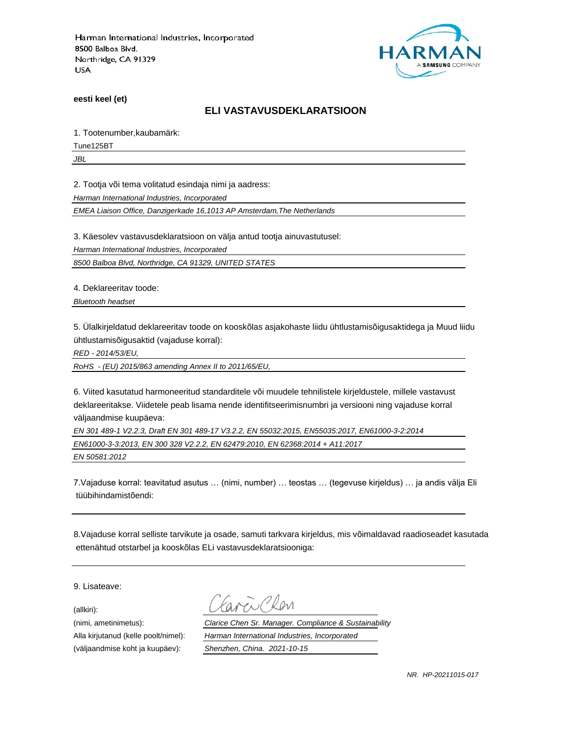

**eesti keel (et)**

#### **ELI VASTAVUSDEKLARATSIOON**

1. Tootenumber,kaubamärk:

Tune125BT

*JBL*

2. Tootja või tema volitatud esindaja nimi ja aadress:

*Harman International Industries, Incorporated*

*EMEA Liaison Office, Danzigerkade 16,1013 AP Amsterdam,The Netherlands*

3. Käesolev vastavusdeklaratsioon on välja antud tootja ainuvastutusel:

*Harman International Industries, Incorporated*

*8500 Balboa Blvd, Northridge, CA 91329, UNITED STATES*

4. Deklareeritav toode:

*Bluetooth headset*

5. Ülalkirjeldatud deklareeritav toode on kooskõlas asjakohaste liidu ühtlustamisõigusaktidega ja Muud liidu ühtlustamisõigusaktid (vajaduse korral):

*RED - 2014/53/EU,*

*RoHS - (EU) 2015/863 amending Annex II to 2011/65/EU,*

6. Viited kasutatud harmoneeritud standarditele või muudele tehnilistele kirjeldustele, millele vastavust deklareeritakse. Viidetele peab lisama nende identifitseerimisnumbri ja versiooni ning vajaduse korral väljaandmise kuupäeva:

*EN 301 489-1 V2.2.3, Draft EN 301 489-17 V3.2.2, EN 55032:2015, EN55035:2017, EN61000-3-2:2014 EN61000-3-3:2013, EN 300 328 V2.2.2, EN 62479:2010, EN 62368:2014 + A11:2017 EN 50581:2012*

7.Vajaduse korral: teavitatud asutus … (nimi, number) … teostas … (tegevuse kirjeldus) … ja andis välja Eli tüübihindamistõendi:

8.Vajaduse korral selliste tarvikute ja osade, samuti tarkvara kirjeldus, mis võimaldavad raadioseadet kasutada ettenähtud otstarbel ja kooskõlas ELi vastavusdeklaratsiooniga:

9. Lisateave:

(allkiri):

(nimi, ametinimetus): *Clarice Chen Sr. Manager. Compliance & Sustainability* Alla kirjutanud (kelle poolt/nimel): *Harman International Industries, Incorporated* (väljaandmise koht ja kuupäev): *Shenzhen, China. 2021-10-15*

*NR. HP-20211015-017*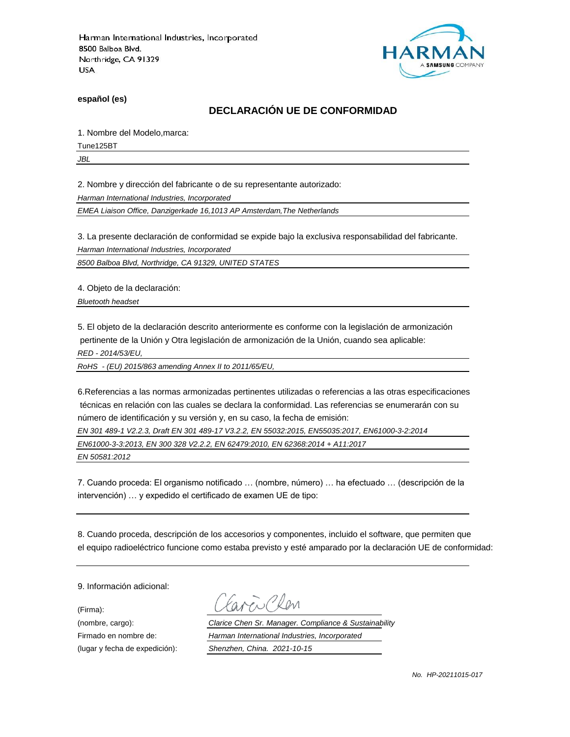

**español (es)**

## **DECLARACIÓN UE DE CONFORMIDAD**

1. Nombre del Modelo,marca:

Tune125BT

*JBL*

2. Nombre y dirección del fabricante o de su representante autorizado:

*Harman International Industries, Incorporated*

*EMEA Liaison Office, Danzigerkade 16,1013 AP Amsterdam,The Netherlands*

3. La presente declaración de conformidad se expide bajo la exclusiva responsabilidad del fabricante.

*Harman International Industries, Incorporated*

*8500 Balboa Blvd, Northridge, CA 91329, UNITED STATES*

4. Objeto de la declaración:

*Bluetooth headset*

5. El objeto de la declaración descrito anteriormente es conforme con la legislación de armonización pertinente de la Unión y Otra legislación de armonización de la Unión, cuando sea aplicable:

*RED - 2014/53/EU,*

*RoHS - (EU) 2015/863 amending Annex II to 2011/65/EU,*

6.Referencias a las normas armonizadas pertinentes utilizadas o referencias a las otras especificaciones técnicas en relación con las cuales se declara la conformidad. Las referencias se enumerarán con su número de identificación y su versión y, en su caso, la fecha de emisión:

*EN 301 489-1 V2.2.3, Draft EN 301 489-17 V3.2.2, EN 55032:2015, EN55035:2017, EN61000-3-2:2014*

*EN61000-3-3:2013, EN 300 328 V2.2.2, EN 62479:2010, EN 62368:2014 + A11:2017*

*EN 50581:2012*

7. Cuando proceda: El organismo notificado … (nombre, número) … ha efectuado … (descripción de la intervención) … y expedido el certificado de examen UE de tipo:

8. Cuando proceda, descripción de los accesorios y componentes, incluido el software, que permiten que el equipo radioeléctrico funcione como estaba previsto y esté amparado por la declaración UE de conformidad:

9. Información adicional:

(Firma):

Plen

(nombre, cargo): *Clarice Chen Sr. Manager. Compliance & Sustainability* Firmado en nombre de: *Harman International Industries, Incorporated* (lugar y fecha de expedición): *Shenzhen, China. 2021-10-15*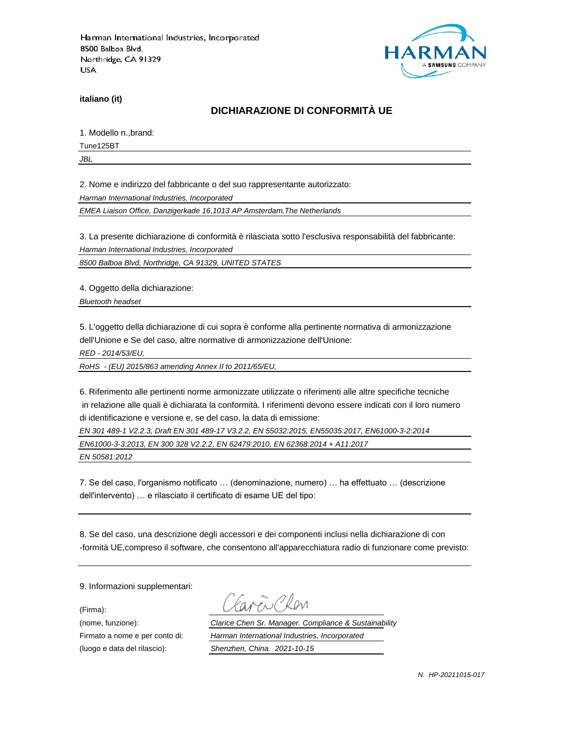

**italiano (it)**

# **DICHIARAZIONE DI CONFORMITÀ UE**

1. Modello n.,brand:

Tune125BT

*JBL*

2. Nome e indirizzo del fabbricante o del suo rappresentante autorizzato:

*Harman International Industries, Incorporated*

*EMEA Liaison Office, Danzigerkade 16,1013 AP Amsterdam,The Netherlands*

3. La presente dichiarazione di conformità è rilasciata sotto l'esclusiva responsabilità del fabbricante:

*Harman International Industries, Incorporated*

*8500 Balboa Blvd, Northridge, CA 91329, UNITED STATES*

4. Oggetto della dichiarazione:

*Bluetooth headset*

5. L'oggetto della dichiarazione di cui sopra è conforme alla pertinente normativa di armonizzazione dell'Unione e Se del caso, altre normative di armonizzazione dell'Unione:

*RED - 2014/53/EU,*

*RoHS - (EU) 2015/863 amending Annex II to 2011/65/EU,*

6. Riferimento alle pertinenti norme armonizzate utilizzate o riferimenti alle altre specifiche tecniche in relazione alle quali è dichiarata la conformità. I riferimenti devono essere indicati con il loro numero di identificazione e versione e, se del caso, la data di emissione:

*EN 301 489-1 V2.2.3, Draft EN 301 489-17 V3.2.2, EN 55032:2015, EN55035:2017, EN61000-3-2:2014*

*EN61000-3-3:2013, EN 300 328 V2.2.2, EN 62479:2010, EN 62368:2014 + A11:2017*

*EN 50581:2012*

7. Se del caso, l'organismo notificato … (denominazione, numero) … ha effettuato … (descrizione dell'intervento) … e rilasciato il certificato di esame UE del tipo:

8. Se del caso, una descrizione degli accessori e dei componenti inclusi nella dichiarazione di con -formità UE,compreso il software, che consentono all'apparecchiatura radio di funzionare come previsto:

9. Informazioni supplementari:

(Firma):

(luogo e data del rilascio): *Shenzhen, China. 2021-10-15*

i Plan

(nome, funzione): *Clarice Chen Sr. Manager. Compliance & Sustainability* Firmato a nome e per conto di: *Harman International Industries, Incorporated*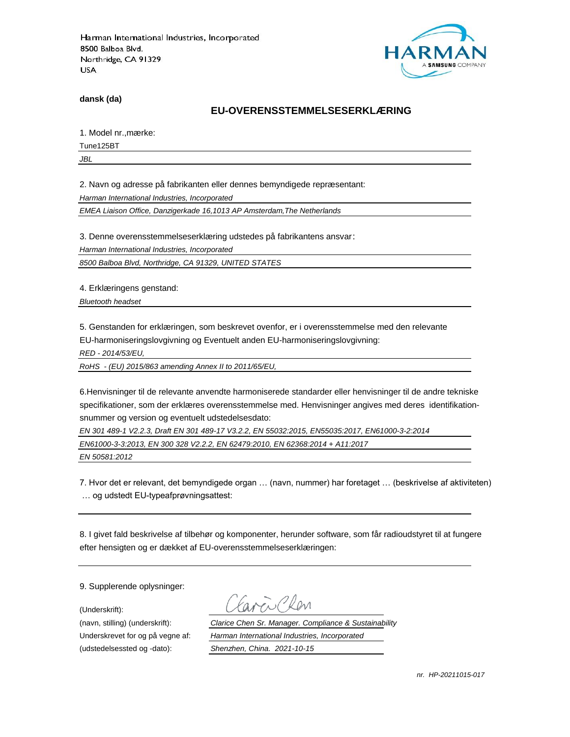

**dansk (da)**

#### **EU-OVERENSSTEMMELSESERKLÆ RING**

1. Model nr., mærke:

Tune125BT

*JBL*

2. Navn og adresse på fabrikanten eller dennes bemyndigede repræ sentant:

*Harman International Industries, Incorporated*

*EMEA Liaison Office, Danzigerkade 16,1013 AP Amsterdam,The Netherlands*

3. Denne overensstemmelseserklæring udstedes på fabrikantens ansvar:

*Harman International Industries, Incorporated*

*8500 Balboa Blvd, Northridge, CA 91329, UNITED STATES*

4. Erklæringens genstand:

*Bluetooth headset*

5. Genstanden for erklæringen, som beskrevet ovenfor, er i overensstemmelse med den relevante EU-harmoniseringslovgivning og Eventuelt anden EU-harmoniseringslovgivning:

*RED - 2014/53/EU,*

*RoHS - (EU) 2015/863 amending Annex II to 2011/65/EU,*

6.Henvisninger til de relevante anvendte harmoniserede standarder eller henvisninger til de andre tekniske specifikationer, som der erklæres overensstemmelse med. Henvisninger angives med deres identifikationsnummer og version og eventuelt udstedelsesdato:

*EN 301 489-1 V2.2.3, Draft EN 301 489-17 V3.2.2, EN 55032:2015, EN55035:2017, EN61000-3-2:2014*

*EN61000-3-3:2013, EN 300 328 V2.2.2, EN 62479:2010, EN 62368:2014 + A11:2017*

*EN 50581:2012*

7. Hvor det er relevant, det bemyndigede organ … (navn, nummer) har foretaget … (beskrivelse af aktiviteten) … og udstedt EU-typeafprøvningsattest:

8. I givet fald beskrivelse af tilbehør og komponenter, herunder software, som får radioudstyret til at fungere efter hensigten og er dækket af EU-overensstemmelseserklæringen:

9. Supplerende oplysninger:

(Underskrift):

(udstedelsessted og -dato): *Shenzhen, China. 2021-10-15*

(navn, stilling) (underskrift): *Clarice Chen Sr. Manager. Compliance & Sustainability* Underskrevet for og på vegne af: *Harman International Industries, Incorporated*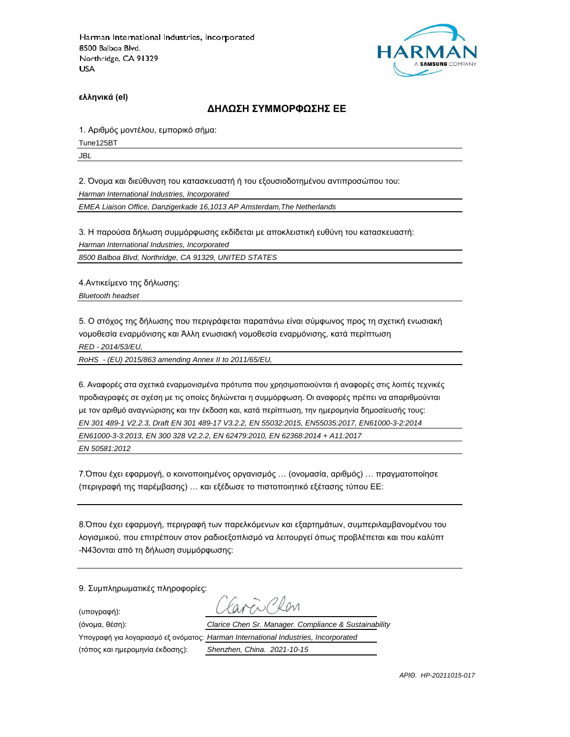

**ελληνικά (el)**

#### **ΔΗΛΩΣΗ ΣΥΜΜΟΡΦΩΣΗΣ ΕΕ**

1. Αριθμός μοντέλου, εμπορικό σήμα:

Tune125BT

*JBL*

2. Όνομα και διεύθυνση του κατασκευαστή ή του εξουσιοδοτημένου αντιπροσώπου του:

*Harman International Industries, Incorporated*

*EMEA Liaison Office, Danzigerkade 16,1013 AP Amsterdam,The Netherlands*

3. Η παρούσα δήλωση συμμόρφωσης εκδίδεται με αποκλειστική ευθύνη του κατασκευαστή:

*Harman International Industries, Incorporated*

*8500 Balboa Blvd, Northridge, CA 91329, UNITED STATES*

4.Αντικείμενο της δήλωσης:

*Bluetooth headset*

5. Ο στόχος της δήλωσης που περιγράφεται παραπάνω είναι σύμφωνος προς τη σχετική ενωσιακή νομοθεσία εναρμόνισης και Άλλη ενωσιακή νομοθεσία εναρμόνισης, κατά περίπτωση

*RED - 2014/53/EU,*

*RoHS - (EU) 2015/863 amending Annex II to 2011/65/EU,*

6. Αναφορές στα σχετικά εναρμονισμένα πρότυπα που χρησιμοποιούνται ή αναφορές στις λοιπές τεχνικές προδιαγραφές σε σχέση με τις οποίες δηλώνεται η συμμόρφωση. Οι αναφορές πρέπει να απαριθμούνται με τον αριθμό αναγνώρισης και την έκδοση και, κατά περίπτωση, την ημερομηνία δημοσίευσής τους: *EN 301 489-1 V2.2.3, Draft EN 301 489-17 V3.2.2, EN 55032:2015, EN55035:2017, EN61000-3-2:2014 EN61000-3-3:2013, EN 300 328 V2.2.2, EN 62479:2010, EN 62368:2014 + A11:2017 EN 50581:2012*

7.Όπου έχει εφαρμογή, ο κοινοποιημένος οργανισμός … (ονομασία, αριθμός) … πραγματοποίησε (περιγραφή της παρέμβασης) … και εξέδωσε το πιστοποιητικό εξέτασης τύπου ΕΕ:

8.Όπου έχει εφαρμογή, περιγραφή των παρελκόμενων και εξαρτημάτων, συμπεριλαμβανομένου του λογισμικού, που επιτρέπουν στον ραδιοεξοπλισμό να λειτουργεί όπως προβλέπεται και που καλύπτ -N43ονται από τη δήλωση συμμόρφωσης:

9. Συμπληρωματικές πληροφορίες:

(υπογραφή):

 $R_{\text{N}}$ (όνομα, θέση): *Clarice Chen Sr. Manager. Compliance & Sustainability* Υπογραφή για λογαριασμό εξ ονόματος: *Harman International Industries, Incorporated*

(τόπος και ημερομηνία έκδοσης): *Shenzhen, China. 2021-10-15*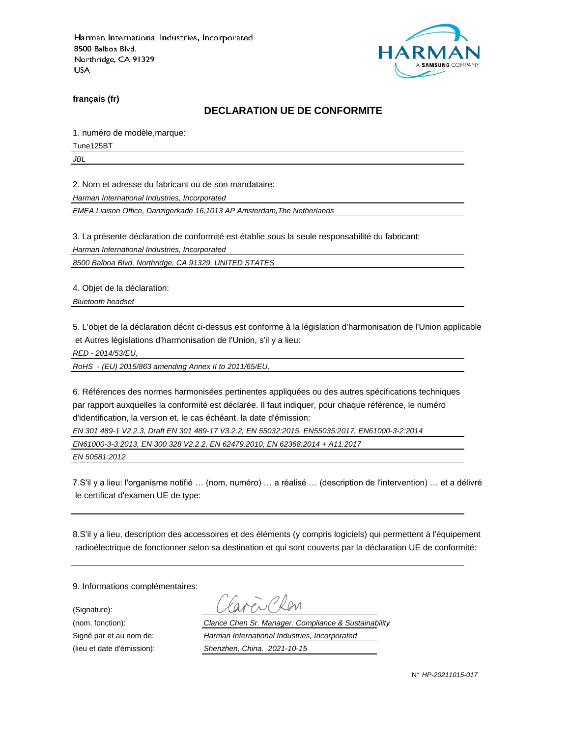

**français (fr)**

#### **DECLARATION UE DE CONFORMITE**

1. numéro de modèle,marque:

Tune125BT

*JBL*

2. Nom et adresse du fabricant ou de son mandataire:

*Harman International Industries, Incorporated*

*EMEA Liaison Office, Danzigerkade 16,1013 AP Amsterdam,The Netherlands*

3. La présente déclaration de conformité est établie sous la seule responsabilité du fabricant:

*Harman International Industries, Incorporated*

*8500 Balboa Blvd, Northridge, CA 91329, UNITED STATES*

4. Objet de la déclaration:

*Bluetooth headset*

5. L'objet de la déclaration décrit ci-dessus est conforme à la législation d'harmonisation de l'Union applicable et Autres législations d'harmonisation de l'Union, s'il y a lieu:

*RED - 2014/53/EU,*

*RoHS - (EU) 2015/863 amending Annex II to 2011/65/EU,*

6. Références des normes harmonisées pertinentes appliquées ou des autres spécifications techniques par rapport auxquelles la conformité est déclarée. Il faut indiquer, pour chaque référence, le numéro d'identification, la version et, le cas échéant, la date d'émission:

*EN 301 489-1 V2.2.3, Draft EN 301 489-17 V3.2.2, EN 55032:2015, EN55035:2017, EN61000-3-2:2014*

*EN61000-3-3:2013, EN 300 328 V2.2.2, EN 62479:2010, EN 62368:2014 + A11:2017*

*EN 50581:2012*

7.S'il y a lieu: l'organisme notifié … (nom, numéro) … a réalisé … (description de l'intervention) … et a délivré le certificat d'examen UE de type:

8.S'il y a lieu, description des accessoires et des éléments (y compris logiciels) qui permettent à l'équipement radioélectrique de fonctionner selon sa destination et qui sont couverts par la déclaration UE de conformité:

9. Informations complémentaires:

(Signature):

(nom, fonction): *Clarice Chen Sr. Manager. Compliance & Sustainability* Signé par et au nom de: *Harman International Industries, Incorporated* (lieu et date d'émission): *Shenzhen, China. 2021-10-15*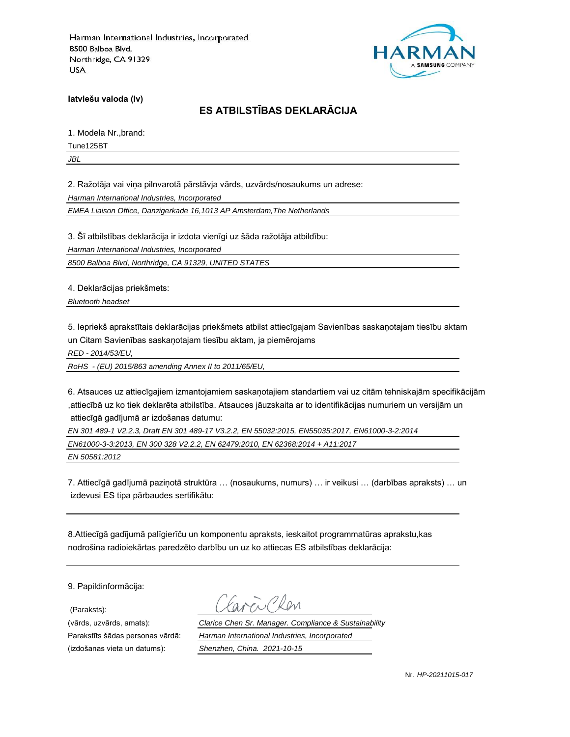

**latviešu valoda (lv)**

# **ES ATBILSTĪBAS DEKLARĀCIJA**

1. Modela Nr.,brand:

Tune125BT

*JBL*

2. Ražotāja vai viņa pilnvarotā pārstāvja vārds, uzvārds/nosaukums un adrese:

*Harman International Industries, Incorporated*

*EMEA Liaison Office, Danzigerkade 16,1013 AP Amsterdam,The Netherlands*

3. Šī atbilstības deklarācija ir izdota vienīgi uz šāda ražotāja atbildību:

*Harman International Industries, Incorporated*

*8500 Balboa Blvd, Northridge, CA 91329, UNITED STATES*

4. Deklarācijas priekšmets:

*Bluetooth headset*

5. Iepriekš aprakstītais deklarācijas priekšmets atbilst attiecīgajam Savienības saskaņotajam tiesību aktam un Citam Savienības saskaņotajam tiesību aktam, ja piemērojams

*RED - 2014/53/EU,*

*RoHS - (EU) 2015/863 amending Annex II to 2011/65/EU,*

6. Atsauces uz attiecīgajiem izmantojamiem saskaņotajiem standartiem vai uz citām tehniskajām specifikācijām ,attiecībā uz ko tiek deklarēta atbilstība. Atsauces jāuzskaita ar to identifikācijas numuriem un versijām un attiecīgā gadījumā ar izdošanas datumu:

*EN 301 489-1 V2.2.3, Draft EN 301 489-17 V3.2.2, EN 55032:2015, EN55035:2017, EN61000-3-2:2014*

*EN61000-3-3:2013, EN 300 328 V2.2.2, EN 62479:2010, EN 62368:2014 + A11:2017*

*EN 50581:2012*

7. Attiecīgā gadījumā paziņotā struktūra … (nosaukums, numurs) … ir veikusi … (darbības apraksts) … un izdevusi ES tipa pārbaudes sertifikātu:

8.Attiecīgā gadījumā palīgierīču un komponentu apraksts, ieskaitot programmatūras aprakstu,kas nodrošina radioiekārtas paredzēto darbību un uz ko attiecas ES atbilstības deklarācija:

9. Papildinformācija:

(Paraksts):

(vārds, uzvārds, amats): *Clarice Chen Sr. Manager. Compliance & Sustainability* Parakstīts šādas personas vārdā: *Harman International Industries, Incorporated* (izdošanas vieta un datums): *Shenzhen, China. 2021-10-15*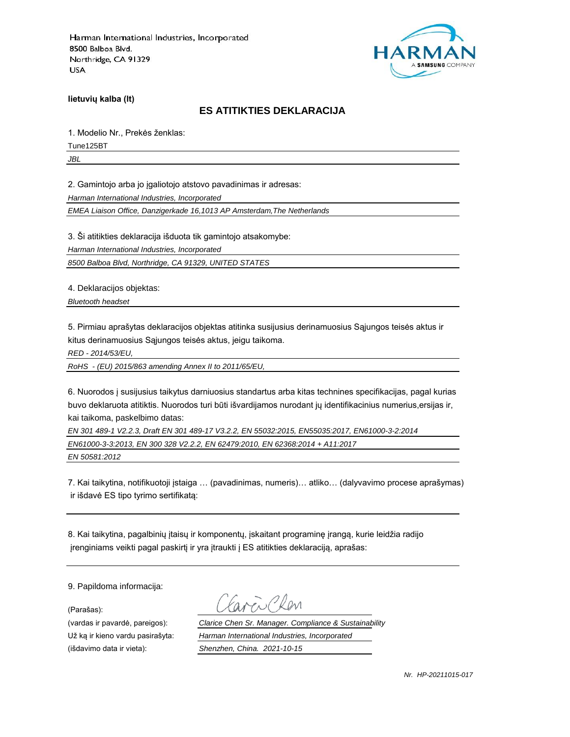

**lietuvių kalba (lt)**

## **ES ATITIKTIES DEKLARACIJA**

1. Modelio Nr., Prekės ženklas:

Tune125BT

*JBL*

2. Gamintojo arba jo įgaliotojo atstovo pavadinimas ir adresas:

*Harman International Industries, Incorporated*

*EMEA Liaison Office, Danzigerkade 16,1013 AP Amsterdam,The Netherlands*

3. Ši atitikties deklaracija išduota tik gamintojo atsakomybe:

*Harman International Industries, Incorporated*

*8500 Balboa Blvd, Northridge, CA 91329, UNITED STATES*

4. Deklaracijos objektas:

*Bluetooth headset*

5. Pirmiau aprašytas deklaracijos objektas atitinka susijusius derinamuosius Sąjungos teisės aktus ir kitus derinamuosius Sąjungos teisės aktus, jeigu taikoma.

*RED - 2014/53/EU,*

*RoHS - (EU) 2015/863 amending Annex II to 2011/65/EU,*

6. Nuorodos į susijusius taikytus darniuosius standartus arba kitas technines specifikacijas, pagal kurias buvo deklaruota atitiktis. Nuorodos turi būti išvardijamos nurodant jų identifikacinius numerius,ersijas ir, kai taikoma, paskelbimo datas:

*EN 301 489-1 V2.2.3, Draft EN 301 489-17 V3.2.2, EN 55032:2015, EN55035:2017, EN61000-3-2:2014*

*EN61000-3-3:2013, EN 300 328 V2.2.2, EN 62479:2010, EN 62368:2014 + A11:2017*

*EN 50581:2012*

7. Kai taikytina, notifikuotoji įstaiga … (pavadinimas, numeris)… atliko… (dalyvavimo procese aprašymas) ir išdavė ES tipo tyrimo sertifikatą:

8. Kai taikytina, pagalbinių įtaisų ir komponentų, įskaitant programinę įrangą, kurie leidžia radijo įrenginiams veikti pagal paskirtį ir yra įtraukti į ES atitikties deklaraciją, aprašas:

9. Papildoma informacija:

(Parašas):

(vardas ir pavardė, pareigos): *Clarice Chen Sr. Manager. Compliance & Sustainability* Už ką ir kieno vardu pasirašyta: *Harman International Industries, Incorporated* (išdavimo data ir vieta): *Shenzhen, China. 2021-10-15*

*Nr. HP-20211015-017*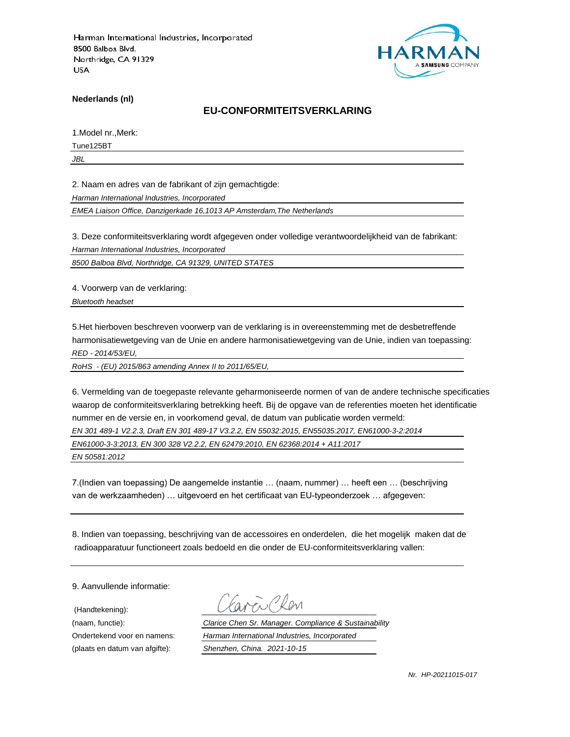

**Nederlands (nl)**

#### **EU-CONFORMITEITSVERKLARING**

1.Model nr.,Merk:

Tune125BT

*JBL*

2. Naam en adres van de fabrikant of zijn gemachtigde:

*Harman International Industries, Incorporated*

*EMEA Liaison Office, Danzigerkade 16,1013 AP Amsterdam,The Netherlands*

3. Deze conformiteitsverklaring wordt afgegeven onder volledige verantwoordelijkheid van de fabrikant:

*Harman International Industries, Incorporated*

*8500 Balboa Blvd, Northridge, CA 91329, UNITED STATES*

4. Voorwerp van de verklaring:

*Bluetooth headset*

5.Het hierboven beschreven voorwerp van de verklaring is in overeenstemming met de desbetreffende harmonisatiewetgeving van de Unie en andere harmonisatiewetgeving van de Unie, indien van toepassing: *RED - 2014/53/EU,*

*RoHS - (EU) 2015/863 amending Annex II to 2011/65/EU,*

6. Vermelding van de toegepaste relevante geharmoniseerde normen of van de andere technische specificaties waarop de conformiteitsverklaring betrekking heeft. Bij de opgave van de referenties moeten het identificatie nummer en de versie en, in voorkomend geval, de datum van publicatie worden vermeld:

*EN 301 489-1 V2.2.3, Draft EN 301 489-17 V3.2.2, EN 55032:2015, EN55035:2017, EN61000-3-2:2014*

*EN61000-3-3:2013, EN 300 328 V2.2.2, EN 62479:2010, EN 62368:2014 + A11:2017*

*EN 50581:2012*

7.(Indien van toepassing) De aangemelde instantie … (naam, nummer) … heeft een … (beschrijving van de werkzaamheden) … uitgevoerd en het certificaat van EU-typeonderzoek … afgegeven:

8. Indien van toepassing, beschrijving van de accessoires en onderdelen, die het mogelijk maken dat de radioapparatuur functioneert zoals bedoeld en die onder de EU-conformiteitsverklaring vallen:

9. Aanvullende informatie:

(Handtekening):

(naam, functie): *Clarice Chen Sr. Manager. Compliance & Sustainability* Ondertekend voor en namens: *Harman International Industries, Incorporated* (plaats en datum van afgifte): *Shenzhen, China. 2021-10-15*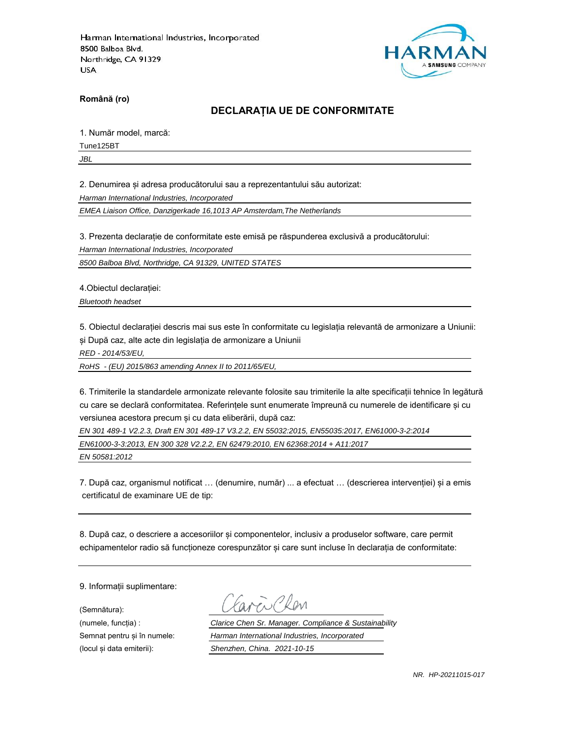

**Română (ro)**

## **DECLARAȚIA UE DE CONFORMITATE**

1. Număr model, marcă:

Tune125BT

*JBL*

2. Denumirea și adresa producătorului sau a reprezentantului său autorizat:

*Harman International Industries, Incorporated*

*EMEA Liaison Office, Danzigerkade 16,1013 AP Amsterdam,The Netherlands*

3. Prezenta declarație de conformitate este emisă pe răspunderea exclusivă a producătorului:

*Harman International Industries, Incorporated*

*8500 Balboa Blvd, Northridge, CA 91329, UNITED STATES*

4.Obiectul declarației:

*Bluetooth headset*

5. Obiectul declarației descris mai sus este în conformitate cu legislația relevantă de armonizare a Uniunii: și După caz, alte acte din legislația de armonizare a Uniunii

*RED - 2014/53/EU,*

*RoHS - (EU) 2015/863 amending Annex II to 2011/65/EU,*

6. Trimiterile la standardele armonizate relevante folosite sau trimiterile la alte specificații tehnice în legătură cu care se declară conformitatea. Referințele sunt enumerate împreună cu numerele de identificare și cu versiunea acestora precum și cu data eliberării, după caz:

*EN 301 489-1 V2.2.3, Draft EN 301 489-17 V3.2.2, EN 55032:2015, EN55035:2017, EN61000-3-2:2014*

*EN61000-3-3:2013, EN 300 328 V2.2.2, EN 62479:2010, EN 62368:2014 + A11:2017*

*EN 50581:2012*

7. După caz, organismul notificat … (denumire, număr) ... a efectuat … (descrierea intervenției) și a emis certificatul de examinare UE de tip:

8. După caz, o descriere a accesoriilor și componentelor, inclusiv a produselor software, care permit echipamentelor radio să funcționeze corespunzător și care sunt incluse în declarația de conformitate:

9. Informații suplimentare:

(Semnătura):

(numele, funcția) : *Clarice Chen Sr. Manager. Compliance & Sustainability* Semnat pentru și în numele: *Harman International Industries, Incorporated* (locul și data emiterii): *Shenzhen, China. 2021-10-15*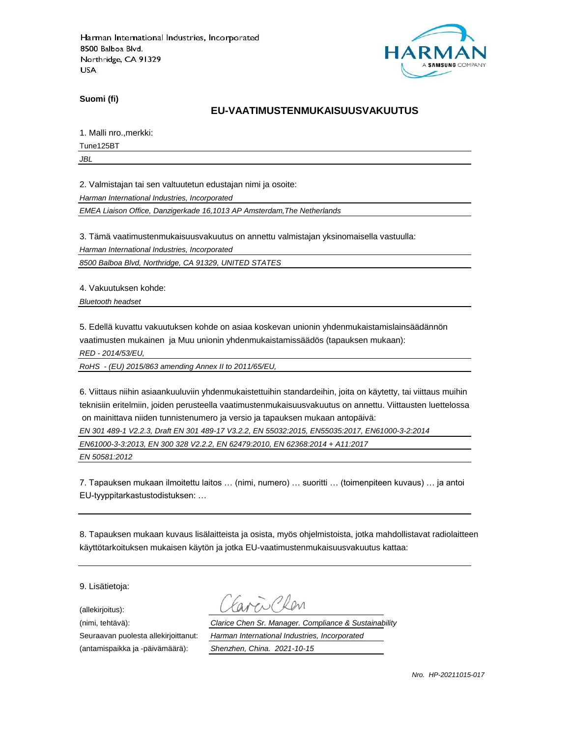

**Suomi (fi)**

## **EU-VAATIMUSTENMUKAISUUSVAKUUTUS**

1. Malli nro.,merkki:

Tune125BT

*JBL*

2. Valmistajan tai sen valtuutetun edustajan nimi ja osoite:

*Harman International Industries, Incorporated*

*EMEA Liaison Office, Danzigerkade 16,1013 AP Amsterdam,The Netherlands*

3. Tämä vaatimustenmukaisuusvakuutus on annettu valmistajan yksinomaisella vastuulla:

*Harman International Industries, Incorporated*

*8500 Balboa Blvd, Northridge, CA 91329, UNITED STATES*

4. Vakuutuksen kohde:

*Bluetooth headset*

5. Edellä kuvattu vakuutuksen kohde on asiaa koskevan unionin yhdenmukaistamislainsäädännön vaatimusten mukainen ja Muu unionin yhdenmukaistamissäädös (tapauksen mukaan):

*RED - 2014/53/EU,*

*RoHS - (EU) 2015/863 amending Annex II to 2011/65/EU,*

6. Viittaus niihin asiaankuuluviin yhdenmukaistettuihin standardeihin, joita on käytetty, tai viittaus muihin teknisiin eritelmiin, joiden perusteella vaatimustenmukaisuusvakuutus on annettu. Viittausten luettelossa on mainittava niiden tunnistenumero ja versio ja tapauksen mukaan antopäivä:

*EN 301 489-1 V2.2.3, Draft EN 301 489-17 V3.2.2, EN 55032:2015, EN55035:2017, EN61000-3-2:2014*

*EN61000-3-3:2013, EN 300 328 V2.2.2, EN 62479:2010, EN 62368:2014 + A11:2017*

*EN 50581:2012*

7. Tapauksen mukaan ilmoitettu laitos … (nimi, numero) … suoritti … (toimenpiteen kuvaus) … ja antoi EU-tyyppitarkastustodistuksen: …

8. Tapauksen mukaan kuvaus lisälaitteista ja osista, myös ohjelmistoista, jotka mahdollistavat radiolaitteen käyttötarkoituksen mukaisen käytön ja jotka EU-vaatimustenmukaisuusvakuutus kattaa:

9. Lisätietoja:

(allekirjoitus):

(antamispaikka ja -päivämäärä): *Shenzhen, China. 2021-10-15*

(nimi, tehtävä): *Clarice Chen Sr. Manager. Compliance & Sustainability* Seuraavan puolesta allekirjoittanut: *Harman International Industries, Incorporated*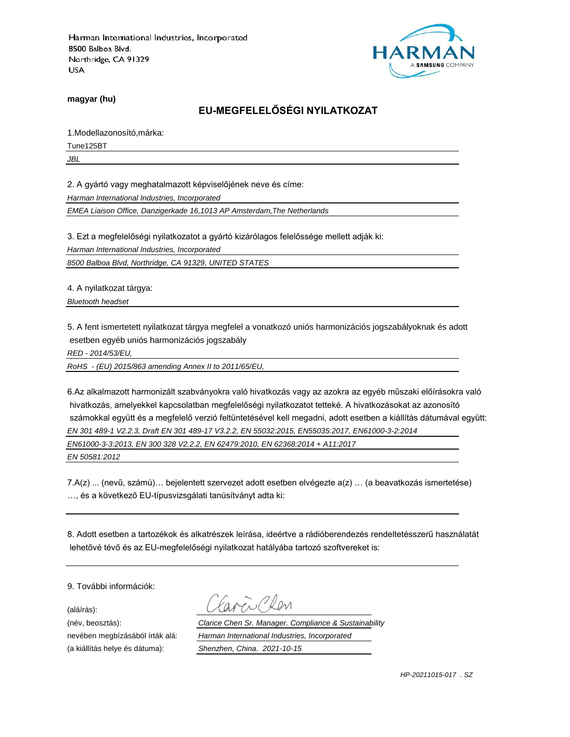

**magyar (hu)**

# **EU-MEGFELELŐSÉGI NYILATKOZAT**

1.Modellazonosító,márka:

Tune125BT

*JBL*

2. A gyártó vagy meghatalmazott képviselőjének neve és címe:

*Harman International Industries, Incorporated*

*EMEA Liaison Office, Danzigerkade 16,1013 AP Amsterdam,The Netherlands*

3. Ezt a megfelelőségi nyilatkozatot a gyártó kizárólagos felelőssége mellett adják ki:

*Harman International Industries, Incorporated*

*8500 Balboa Blvd, Northridge, CA 91329, UNITED STATES*

4. A nyilatkozat tárgya:

*Bluetooth headset*

5. A fent ismertetett nyilatkozat tárgya megfelel a vonatkozó uniós harmonizációs jogszabályoknak és adott esetben egyéb uniós harmonizációs jogszabály

*RED - 2014/53/EU,*

*RoHS - (EU) 2015/863 amending Annex II to 2011/65/EU,*

6.Az alkalmazott harmonizált szabványokra való hivatkozás vagy az azokra az egyéb műszaki előírásokra való hivatkozás, amelyekkel kapcsolatban megfelelőségi nyilatkozatot tetteké. A hivatkozásokat az azonosító számokkal együtt és a megfelelő verzió feltüntetésével kell megadni, adott esetben a kiállítás dátumával együtt: *EN 301 489-1 V2.2.3, Draft EN 301 489-17 V3.2.2, EN 55032:2015, EN55035:2017, EN61000-3-2:2014 EN61000-3-3:2013, EN 300 328 V2.2.2, EN 62479:2010, EN 62368:2014 + A11:2017*

*EN 50581:2012*

7.A(z) ... (nevű, számú)… bejelentett szervezet adott esetben elvégezte a(z) … (a beavatkozás ismertetése) …, és a következő EU-típusvizsgálati tanúsítványt adta ki:

8. Adott esetben a tartozékok és alkatrészek leírása, ideértve a rádióberendezés rendeltetésszerű használatát lehetővé tévő és az EU-megfelelőségi nyilatkozat hatályába tartozó szoftvereket is:

9. További információk:

(aláírás):

(a kiállítás helye és dátuma): *Shenzhen, China. 2021-10-15*

(név, beosztás): *Clarice Chen Sr. Manager. Compliance & Sustainability* nevében megbízásából írták alá: *Harman International Industries, Incorporated*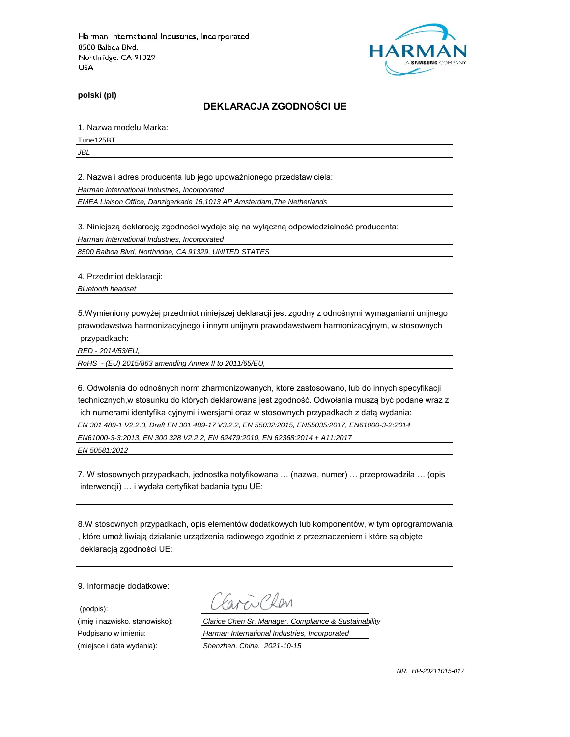

**polski (pl)**

#### **DEKLARACJA ZGODNOŚCI UE**

1. Nazwa modelu,Marka:

Tune125BT

*JBL*

2. Nazwa i adres producenta lub jego upoważnionego przedstawiciela:

*Harman International Industries, Incorporated*

*EMEA Liaison Office, Danzigerkade 16,1013 AP Amsterdam,The Netherlands*

3. Niniejszą deklarację zgodności wydaje się na wyłączną odpowiedzialność producenta:

*Harman International Industries, Incorporated*

*8500 Balboa Blvd, Northridge, CA 91329, UNITED STATES*

4. Przedmiot deklaracji:

*Bluetooth headset*

5.Wymieniony powyżej przedmiot niniejszej deklaracji jest zgodny z odnośnymi wymaganiami unijnego prawodawstwa harmonizacyjnego i innym unijnym prawodawstwem harmonizacyjnym, w stosownych przypadkach:

*RED - 2014/53/EU,*

*RoHS - (EU) 2015/863 amending Annex II to 2011/65/EU,*

6. Odwołania do odnośnych norm zharmonizowanych, które zastosowano, lub do innych specyfikacji technicznych,w stosunku do których deklarowana jest zgodność. Odwołania muszą być podane wraz z ich numerami identyfika cyjnymi i wersjami oraz w stosownych przypadkach z datą wydania: *EN 301 489-1 V2.2.3, Draft EN 301 489-17 V3.2.2, EN 55032:2015, EN55035:2017, EN61000-3-2:2014*

*EN61000-3-3:2013, EN 300 328 V2.2.2, EN 62479:2010, EN 62368:2014 + A11:2017*

*EN 50581:2012*

7. W stosownych przypadkach, jednostka notyfikowana … (nazwa, numer) … przeprowadziła … (opis interwencji) … i wydała certyfikat badania typu UE:

8.W stosownych przypadkach, opis elementów dodatkowych lub komponentów, w tym oprogramowania , które umoż liwiają działanie urządzenia radiowego zgodnie z przeznaczeniem i które są objęte deklaracją zgodności UE:

9. Informacje dodatkowe:

(podpis):

 $\sum$ Plan

(imię i nazwisko, stanowisko): *Clarice Chen Sr. Manager. Compliance & Sustainability* Podpisano w imieniu: *Harman International Industries, Incorporated* (miejsce i data wydania): *Shenzhen, China. 2021-10-15*

*NR. HP-20211015-017*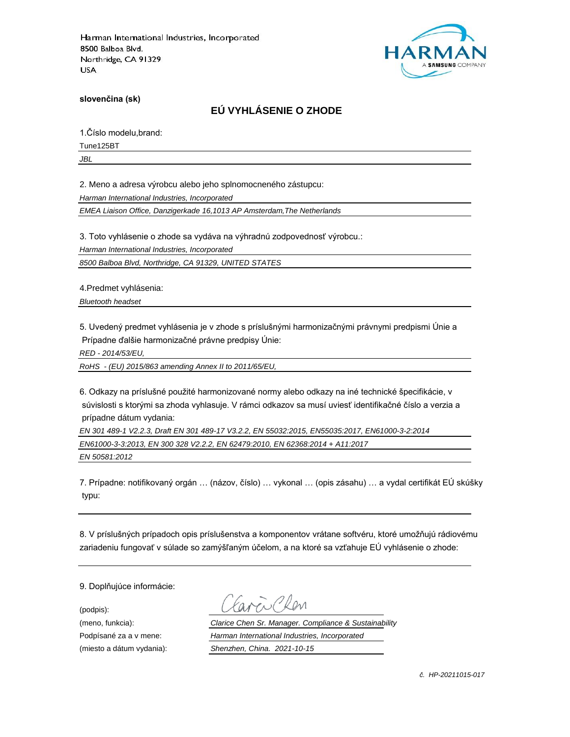

**slovenčina (sk)**

# **EÚ VYHLÁSENIE O ZHODE**

1.Číslo modelu,brand:

Tune125BT

*JBL*

2. Meno a adresa výrobcu alebo jeho splnomocneného zástupcu:

*Harman International Industries, Incorporated*

*EMEA Liaison Office, Danzigerkade 16,1013 AP Amsterdam,The Netherlands*

3. Toto vyhlásenie o zhode sa vydáva na výhradnú zodpovednosť výrobcu.:

*Harman International Industries, Incorporated*

*8500 Balboa Blvd, Northridge, CA 91329, UNITED STATES*

4.Predmet vyhlásenia:

*Bluetooth headset*

5. Uvedený predmet vyhlásenia je v zhode s príslušnými harmonizačnými právnymi predpismi Únie a Prípadne ďalšie harmonizačné právne predpisy Únie:

*RED - 2014/53/EU,*

*RoHS - (EU) 2015/863 amending Annex II to 2011/65/EU,*

6. Odkazy na príslušné použité harmonizované normy alebo odkazy na iné technické špecifikácie, v súvislosti s ktorými sa zhoda vyhlasuje. V rámci odkazov sa musí uviesť identifikačné číslo a verzia a prípadne dátum vydania:

*EN 301 489-1 V2.2.3, Draft EN 301 489-17 V3.2.2, EN 55032:2015, EN55035:2017, EN61000-3-2:2014 EN61000-3-3:2013, EN 300 328 V2.2.2, EN 62479:2010, EN 62368:2014 + A11:2017 EN 50581:2012*

7. Prípadne: notifikovaný orgán … (názov, číslo) … vykonal … (opis zásahu) … a vydal certifikát EÚ skúšky typu:

8. V príslušných prípadoch opis príslušenstva a komponentov vrátane softvéru, ktoré umožňujú rádiovému zariadeniu fungovať v súlade so zamýšľaným účelom, a na ktoré sa vzťahuje EÚ vyhlásenie o zhode:

9. Doplňujúce informácie:

(podpis):

(meno, funkcia): *Clarice Chen Sr. Manager. Compliance & Sustainability* Podpísané za a v mene: *Harman International Industries, Incorporated* (miesto a dátum vydania): *Shenzhen, China. 2021-10-15*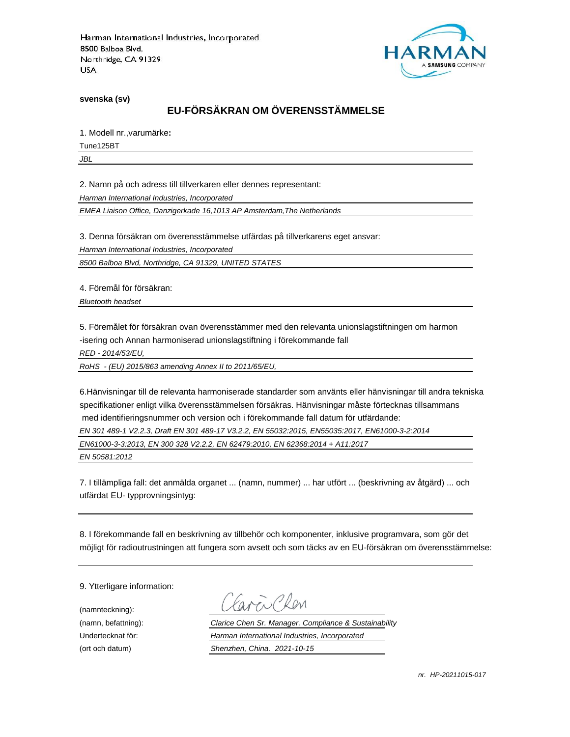

**svenska (sv)**

# **EU-FÖRSÄKRAN OM ÖVERENSSTÄMMELSE**

1. Modell nr.,varumärke**:**

Tune125BT

*JBL*

2. Namn på och adress till tillverkaren eller dennes representant:

*Harman International Industries, Incorporated*

*EMEA Liaison Office, Danzigerkade 16,1013 AP Amsterdam,The Netherlands*

3. Denna försäkran om överensstämmelse utfärdas på tillverkarens eget ansvar:

*Harman International Industries, Incorporated*

*8500 Balboa Blvd, Northridge, CA 91329, UNITED STATES*

4. Föremål för försäkran:

*Bluetooth headset*

5. Föremålet för försäkran ovan överensstämmer med den relevanta unionslagstiftningen om harmon -isering och Annan harmoniserad unionslagstiftning i förekommande fall

*RED - 2014/53/EU,*

*RoHS - (EU) 2015/863 amending Annex II to 2011/65/EU,*

6.Hänvisningar till de relevanta harmoniserade standarder som använts eller hänvisningar till andra tekniska specifikationer enligt vilka överensstämmelsen försäkras. Hänvisningar måste förtecknas tillsammans med identifieringsnummer och version och i förekommande fall datum för utfärdande:

*EN 301 489-1 V2.2.3, Draft EN 301 489-17 V3.2.2, EN 55032:2015, EN55035:2017, EN61000-3-2:2014*

*EN61000-3-3:2013, EN 300 328 V2.2.2, EN 62479:2010, EN 62368:2014 + A11:2017*

*EN 50581:2012*

7. I tillämpliga fall: det anmälda organet ... (namn, nummer) ... har utfört ... (beskrivning av åtgärd) ... och utfärdat EU- typprovningsintyg:

8. I förekommande fall en beskrivning av tillbehör och komponenter, inklusive programvara, som gör det möjligt för radioutrustningen att fungera som avsett och som täcks av en EU-försäkran om överensstämmelse:

9. Ytterligare information:

(namnteckning):

EN Plen

(namn, befattning): *Clarice Chen Sr. Manager. Compliance & Sustainability* Undertecknat för: *Harman International Industries, Incorporated* (ort och datum) *Shenzhen, China. 2021-10-15*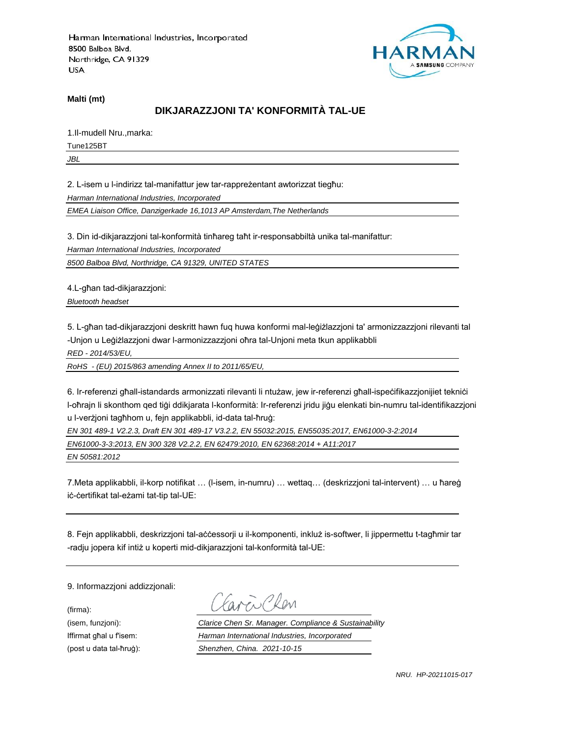

**Malti (mt)**

## **DIKJARAZZJONI TA' KONFORMITÀ TAL-UE**

1.Il-mudell Nru.,marka:

Tune125BT

*JBL*

2. L-isem u l-indirizz tal-manifattur jew tar-rappreżentant awtorizzat tiegħu:

*Harman International Industries, Incorporated*

*EMEA Liaison Office, Danzigerkade 16,1013 AP Amsterdam,The Netherlands*

3. Din id-dikjarazzjoni tal-konformità tinħareg taħt ir-responsabbiltà unika tal-manifattur:

*Harman International Industries, Incorporated*

*8500 Balboa Blvd, Northridge, CA 91329, UNITED STATES*

4.L-għan tad-dikjarazzjoni:

*Bluetooth headset*

5. L-għan tad-dikjarazzjoni deskritt hawn fuq huwa konformi mal-leġiżlazzjoni ta' armonizzazzjoni rilevanti tal -Unjon u Leġiżlazzjoni dwar l-armonizzazzjoni oħra tal-Unjoni meta tkun applikabbli

*RED - 2014/53/EU,*

*RoHS - (EU) 2015/863 amending Annex II to 2011/65/EU,*

6. Ir-referenzi għall-istandards armonizzati rilevanti li ntużaw, jew ir-referenzi għall-ispeċifikazzjonijiet tekniċi l-oħrajn li skonthom qed tiġi ddikjarata l-konformità: Ir-referenzi jridu jiġu elenkati bin-numru tal-identifikazzjoni u l-verżjoni tagħhom u, fejn applikabbli, id-data tal-ħruġ:

*EN 301 489-1 V2.2.3, Draft EN 301 489-17 V3.2.2, EN 55032:2015, EN55035:2017, EN61000-3-2:2014*

*EN61000-3-3:2013, EN 300 328 V2.2.2, EN 62479:2010, EN 62368:2014 + A11:2017*

*EN 50581:2012*

7.Meta applikabbli, il-korp notifikat … (l-isem, in-numru) … wettaq… (deskrizzjoni tal-intervent) … u ħareġ iċ-ċertifikat tal-eżami tat-tip tal-UE:

8. Fejn applikabbli, deskrizzjoni tal-aċċessorji u il-komponenti, inkluż is-softwer, li jippermettu t-tagħmir tar -radju jopera kif intiż u koperti mid-dikjarazzjoni tal-konformità tal-UE:

9. Informazzjoni addizzjonali:

(firma):

EN CRON

(isem, funzjoni): *Clarice Chen Sr. Manager. Compliance & Sustainability* Iffirmat għal u f'isem: *Harman International Industries, Incorporated* (post u data tal-ħruġ): *Shenzhen, China. 2021-10-15*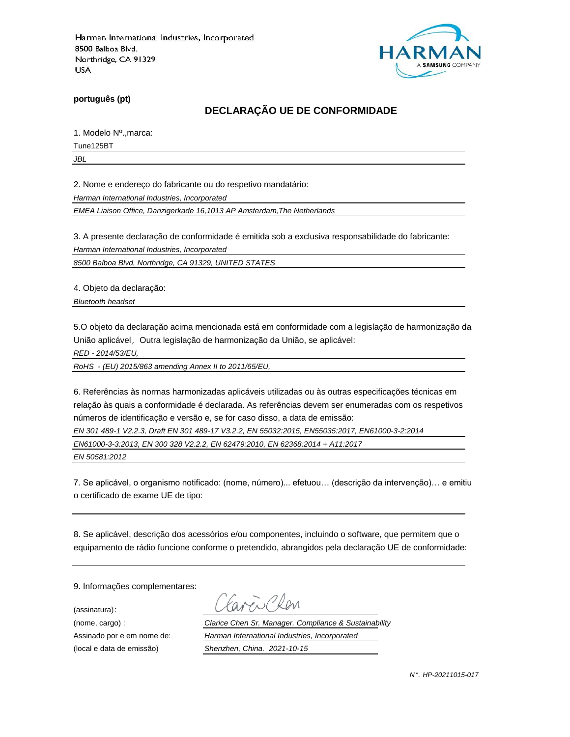

**português (pt)**

# **DECLARAÇÃO UE DE CONFORMIDADE**

1. Modelo Nº.,marca:

Tune125BT

*JBL*

2. Nome e endereço do fabricante ou do respetivo mandatário:

*Harman International Industries, Incorporated*

*EMEA Liaison Office, Danzigerkade 16,1013 AP Amsterdam,The Netherlands*

3. A presente declaração de conformidade é emitida sob a exclusiva responsabilidade do fabricante:

*Harman International Industries, Incorporated*

*8500 Balboa Blvd, Northridge, CA 91329, UNITED STATES*

4. Objeto da declaração:

*Bluetooth headset*

5.O objeto da declaração acima mencionada está em conformidade com a legislação de harmonização da União aplicável, Outra legislação de harmonização da União, se aplicável:

*RED - 2014/53/EU,*

*RoHS - (EU) 2015/863 amending Annex II to 2011/65/EU,*

6. Referências às normas harmonizadas aplicáveis utilizadas ou às outras especificações técnicas em relação às quais a conformidade é declarada. As referências devem ser enumeradas com os respetivos números de identificação e versão e, se for caso disso, a data de emissão:

*EN 301 489-1 V2.2.3, Draft EN 301 489-17 V3.2.2, EN 55032:2015, EN55035:2017, EN61000-3-2:2014*

*EN61000-3-3:2013, EN 300 328 V2.2.2, EN 62479:2010, EN 62368:2014 + A11:2017*

*EN 50581:2012*

7. Se aplicável, o organismo notificado: (nome, número)... efetuou… (descrição da intervenção)… e emitiu o certificado de exame UE de tipo:

8. Se aplicável, descrição dos acessórios e/ou componentes, incluindo o software, que permitem que o equipamento de rádio funcione conforme o pretendido, abrangidos pela declaração UE de conformidade:

9. Informações complementares:

(assinatura):

Chen

(nome, cargo) : *Clarice Chen Sr. Manager. Compliance & Sustainability* Assinado por e em nome de: *Harman International Industries, Incorporated* (local e data de emissão) *Shenzhen, China. 2021-10-15*